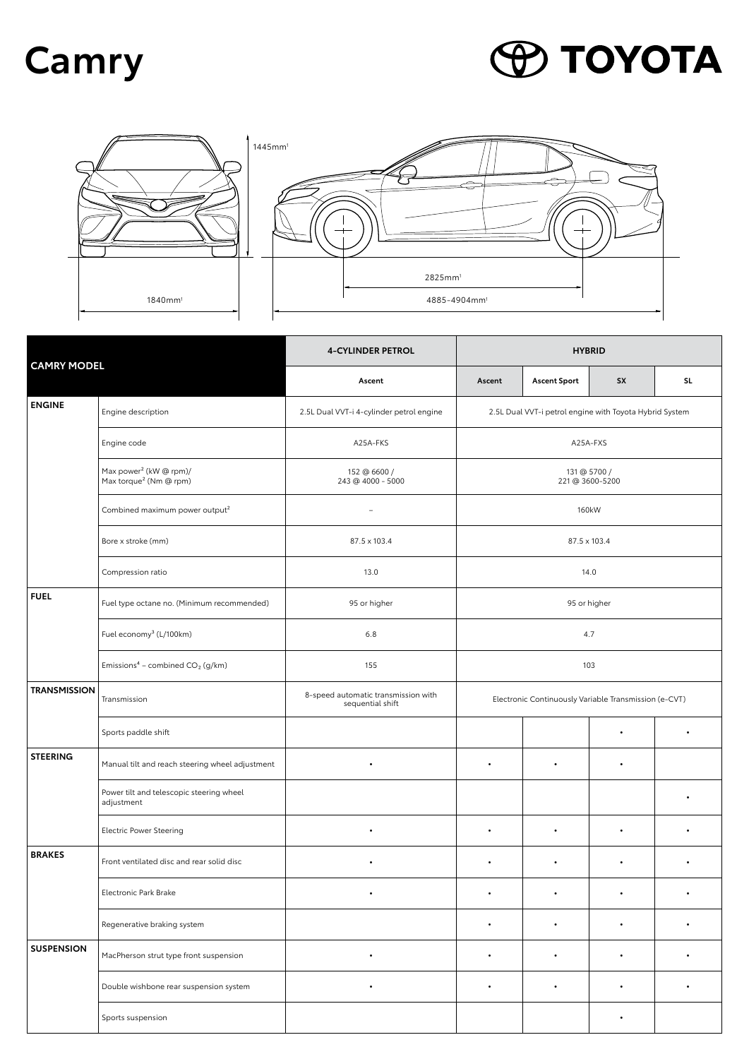## **Camry**

## **PO TOYOTA**



| <b>CAMRY MODEL</b>  |                                                                          | <b>4-CYLINDER PETROL</b>                                | <b>HYBRID</b>                                                       |                     |           |     |  |
|---------------------|--------------------------------------------------------------------------|---------------------------------------------------------|---------------------------------------------------------------------|---------------------|-----------|-----|--|
|                     |                                                                          | Ascent                                                  | Ascent                                                              | <b>Ascent Sport</b> | <b>SX</b> | SL. |  |
| <b>ENGINE</b>       | Engine description                                                       | 2.5L Dual VVT-i 4-cylinder petrol engine                | 2.5L Dual VVT-i petrol engine with Toyota Hybrid System<br>A25A-FXS |                     |           |     |  |
|                     | Engine code                                                              | A25A-FKS                                                |                                                                     |                     |           |     |  |
|                     | Max power <sup>2</sup> (kW @ rpm)/<br>Max torque <sup>2</sup> (Nm @ rpm) | 152 @ 6600 /<br>243 @ 4000 - 5000                       | 131 @ 5700 /<br>221 @ 3600-5200<br>160kW                            |                     |           |     |  |
|                     | Combined maximum power output <sup>2</sup>                               | $\overline{\phantom{0}}$                                |                                                                     |                     |           |     |  |
|                     | Bore x stroke (mm)                                                       | 87.5 x 103.4                                            | 87.5 x 103.4                                                        |                     |           |     |  |
|                     | Compression ratio                                                        | 13.0                                                    |                                                                     |                     | 14.0      |     |  |
| <b>FUEL</b>         | Fuel type octane no. (Minimum recommended)                               | 95 or higher                                            | 95 or higher                                                        |                     |           |     |  |
|                     | Fuel economy <sup>3</sup> (L/100km)                                      | 6.8                                                     | 4.7                                                                 |                     |           |     |  |
|                     | Emissions <sup>4</sup> - combined $CO2$ (g/km)                           | 155                                                     | 103                                                                 |                     |           |     |  |
| <b>TRANSMISSION</b> | Transmission                                                             | 8-speed automatic transmission with<br>sequential shift | Electronic Continuously Variable Transmission (e-CVT)               |                     |           |     |  |
|                     | Sports paddle shift                                                      |                                                         |                                                                     |                     | ٠         |     |  |
| <b>STEERING</b>     | Manual tilt and reach steering wheel adjustment                          | $\bullet$                                               | ٠                                                                   | $\bullet$           | ٠         |     |  |
|                     | Power tilt and telescopic steering wheel<br>adjustment                   |                                                         |                                                                     |                     |           |     |  |
|                     | <b>Electric Power Steering</b>                                           | $\bullet$                                               | $\bullet$                                                           | $\bullet$           |           |     |  |
| <b>BRAKES</b>       | Front ventilated disc and rear solid disc                                | $\bullet$                                               | ٠                                                                   | $\bullet$           | ٠         |     |  |
|                     | Electronic Park Brake                                                    |                                                         |                                                                     |                     |           |     |  |
|                     | Regenerative braking system                                              |                                                         |                                                                     |                     |           |     |  |
| <b>SUSPENSION</b>   | MacPherson strut type front suspension                                   | $\bullet$                                               | ٠                                                                   | $\bullet$           | $\bullet$ | ٠   |  |
|                     | Double wishbone rear suspension system                                   | $\bullet$                                               | $\bullet$                                                           | $\bullet$           | $\bullet$ |     |  |
|                     | Sports suspension                                                        |                                                         |                                                                     |                     | ٠         |     |  |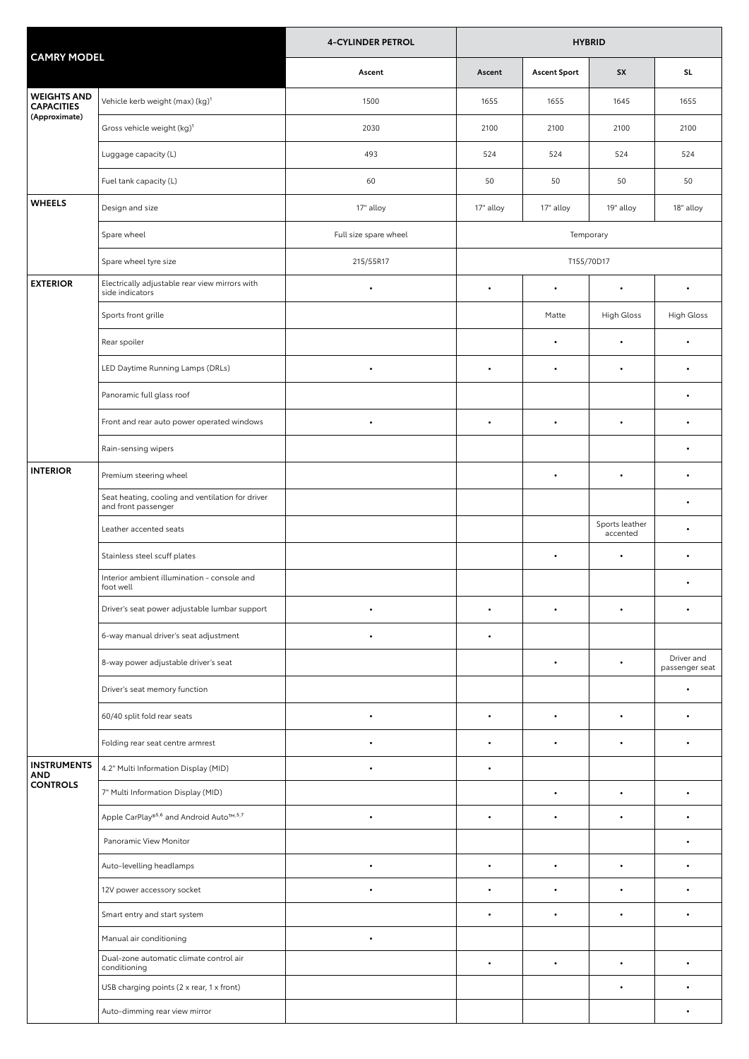| <b>CAMRY MODEL</b>                                       |                                                                         | <b>4-CYLINDER PETROL</b> | <b>HYBRID</b> |                     |                            |                              |  |
|----------------------------------------------------------|-------------------------------------------------------------------------|--------------------------|---------------|---------------------|----------------------------|------------------------------|--|
|                                                          |                                                                         | Ascent                   | Ascent        | <b>Ascent Sport</b> | <b>SX</b>                  | SL.                          |  |
| <b>WEIGHTS AND</b><br><b>CAPACITIES</b><br>(Approximate) | Vehicle kerb weight (max) (kg) <sup>1</sup>                             | 1500                     | 1655          | 1655                | 1645                       | 1655                         |  |
|                                                          | Gross vehicle weight (kg) <sup>1</sup>                                  | 2030                     | 2100          | 2100                | 2100                       | 2100                         |  |
|                                                          | Luggage capacity (L)                                                    | 493                      | 524           | 524                 | 524                        | 524                          |  |
|                                                          | Fuel tank capacity (L)                                                  | 60                       | 50            | 50                  | 50                         | 50                           |  |
| <b>WHEELS</b>                                            | Design and size                                                         | 17" alloy                | 17" alloy     | 17" alloy           | 19" alloy                  | 18" alloy                    |  |
|                                                          | Spare wheel                                                             | Full size spare wheel    | Temporary     |                     |                            |                              |  |
|                                                          | Spare wheel tyre size                                                   | 215/55R17                | T155/70D17    |                     |                            |                              |  |
| <b>EXTERIOR</b>                                          | Electrically adjustable rear view mirrors with<br>side indicators       | $\bullet$                | $\bullet$     | $\bullet$           | $\bullet$                  | $\bullet$                    |  |
|                                                          | Sports front grille                                                     |                          |               | Matte               | High Gloss                 | High Gloss                   |  |
|                                                          | Rear spoiler                                                            |                          |               | ٠                   | $\bullet$                  |                              |  |
|                                                          | LED Daytime Running Lamps (DRLs)                                        | $\bullet$                | $\bullet$     | $\bullet$           | $\bullet$                  | $\bullet$                    |  |
|                                                          | Panoramic full glass roof                                               |                          |               |                     |                            |                              |  |
|                                                          | Front and rear auto power operated windows                              | $\bullet$                | $\bullet$     | $\bullet$           |                            | $\bullet$                    |  |
|                                                          | Rain-sensing wipers                                                     |                          |               |                     |                            | ٠                            |  |
| <b>INTERIOR</b>                                          | Premium steering wheel                                                  |                          |               | $\bullet$           | $\bullet$                  | $\bullet$                    |  |
|                                                          | Seat heating, cooling and ventilation for driver<br>and front passenger |                          |               |                     |                            | $\bullet$                    |  |
|                                                          | Leather accented seats                                                  |                          |               |                     | Sports leather<br>accented | $\bullet$                    |  |
|                                                          | Stainless steel scuff plates                                            |                          |               | $\bullet$           | $\bullet$                  |                              |  |
|                                                          | Interior ambient illumination - console and<br>foot well                |                          |               |                     |                            |                              |  |
|                                                          | Driver's seat power adjustable lumbar support                           |                          |               |                     |                            |                              |  |
|                                                          | 6-way manual driver's seat adjustment                                   | $\bullet$                | $\bullet$     |                     |                            |                              |  |
|                                                          | 8-way power adjustable driver's seat                                    |                          |               | $\bullet$           | $\bullet$                  | Driver and<br>passenger seat |  |
|                                                          | Driver's seat memory function                                           |                          |               |                     |                            | $\bullet$                    |  |
|                                                          | 60/40 split fold rear seats                                             | $\bullet$                | $\bullet$     | $\bullet$           |                            | $\bullet$                    |  |
|                                                          | Folding rear seat centre armrest                                        | $\bullet$                |               | ٠                   |                            |                              |  |
| <b>INSTRUMENTS</b><br><b>AND</b><br><b>CONTROLS</b>      | 4.2" Multi Information Display (MID)                                    | $\bullet$                | $\bullet$     |                     |                            |                              |  |
|                                                          | 7" Multi Information Display (MID)                                      |                          |               | $\bullet$           | $\bullet$                  | $\bullet$                    |  |
|                                                          | Apple CarPlay® <sup>5,6</sup> and Android Auto™,5,7                     | $\bullet$                | $\bullet$     | $\bullet$           |                            |                              |  |
|                                                          | Panoramic View Monitor                                                  |                          |               |                     |                            | $\bullet$                    |  |
|                                                          | Auto-levelling headlamps                                                | $\bullet$                | $\bullet$     | $\bullet$           | $\bullet$                  | $\bullet$                    |  |
|                                                          | 12V power accessory socket                                              | $\bullet$                | $\bullet$     | $\bullet$           | $\bullet$                  | $\bullet$                    |  |
|                                                          | Smart entry and start system                                            |                          | $\bullet$     | $\bullet$           |                            |                              |  |
|                                                          | Manual air conditioning                                                 | $\bullet$                |               |                     |                            |                              |  |
|                                                          | Dual-zone automatic climate control air<br>conditioning                 |                          | $\bullet$     | $\bullet$           | $\bullet$                  | $\bullet$                    |  |
|                                                          | USB charging points (2 x rear, 1 x front)                               |                          |               |                     |                            |                              |  |
|                                                          | Auto-dimming rear view mirror                                           |                          |               |                     |                            | $\bullet$                    |  |